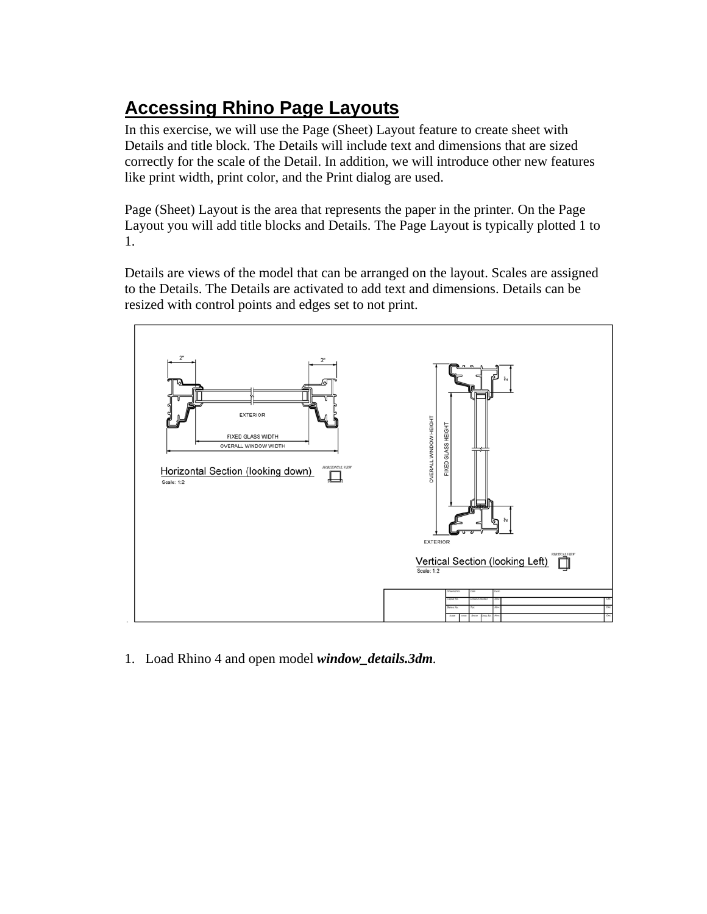## **Accessing Rhino Page Layouts**

In this exercise, we will use the Page (Sheet) Layout feature to create sheet with Details and title block. The Details will include text and dimensions that are sized correctly for the scale of the Detail. In addition, we will introduce other new features like print width, print color, and the Print dialog are used.

Page (Sheet) Layout is the area that represents the paper in the printer. On the Page Layout you will add title blocks and Details. The Page Layout is typically plotted 1 to 1.

Details are views of the model that can be arranged on the layout. Scales are assigned to the Details. The Details are activated to add text and dimensions. Details can be resized with control points and edges set to not print.



1. Load Rhino 4 and open model *window\_details.3dm.*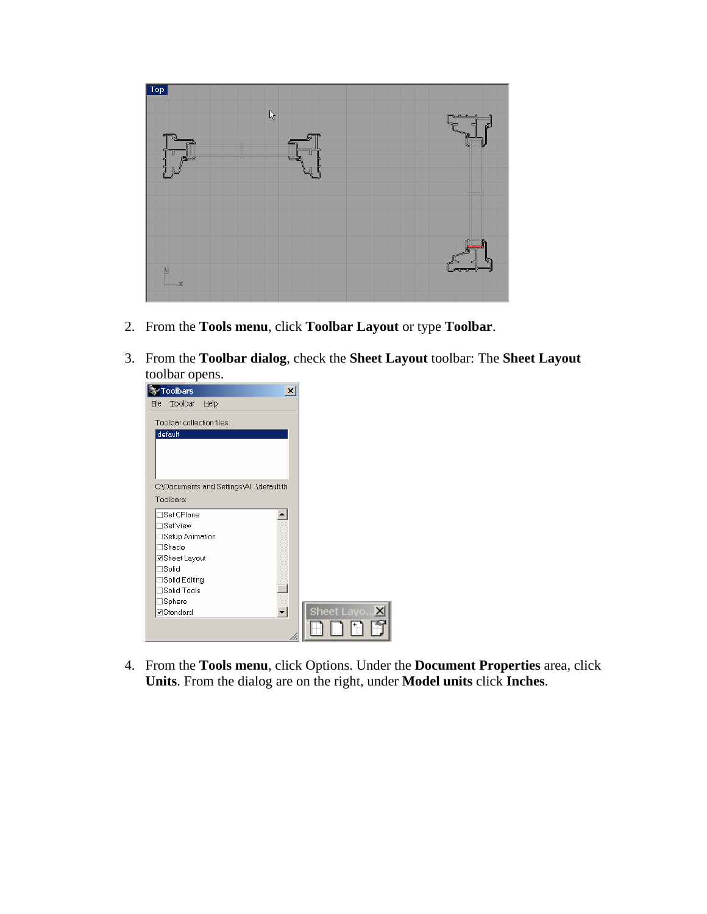

- 2. From the **Tools menu**, click **Toolbar Layout** or type **Toolbar**.
- 3. From the **Toolbar dialog**, check the **Sheet Layout** toolbar: The **Sheet Layout** toolbar opens.



4. From the **Tools menu**, click Options. Under the **Document Properties** area, click **Units**. From the dialog are on the right, under **Model units** click **Inches**.

₹